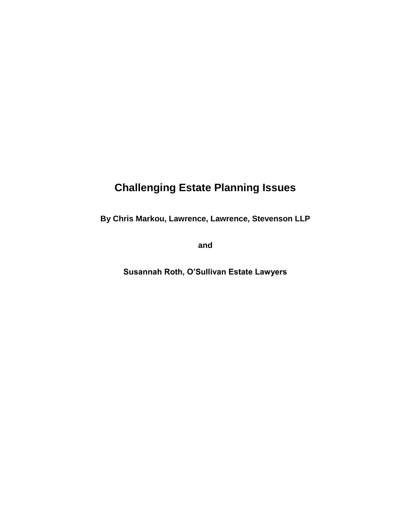# **Challenging Estate Planning Issues**

**By Chris Markou, Lawrence, Lawrence, Stevenson LLP** 

**and** 

**Susannah Roth, O'Sullivan Estate Lawyers**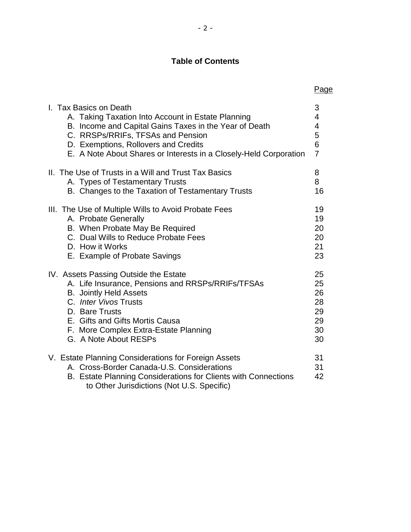# **Table of Contents**

|                                                                                                                                                                                                                    | Page           |
|--------------------------------------------------------------------------------------------------------------------------------------------------------------------------------------------------------------------|----------------|
| I. Tax Basics on Death                                                                                                                                                                                             | 3              |
| A. Taking Taxation Into Account in Estate Planning                                                                                                                                                                 | 4              |
| B. Income and Capital Gains Taxes in the Year of Death                                                                                                                                                             | 4              |
| C. RRSPs/RRIFs, TFSAs and Pension                                                                                                                                                                                  | 5              |
| D. Exemptions, Rollovers and Credits                                                                                                                                                                               | 6              |
| E. A Note About Shares or Interests in a Closely-Held Corporation                                                                                                                                                  | $\overline{7}$ |
| II. The Use of Trusts in a Will and Trust Tax Basics                                                                                                                                                               | 8              |
| A. Types of Testamentary Trusts                                                                                                                                                                                    | 8              |
| B. Changes to the Taxation of Testamentary Trusts                                                                                                                                                                  | 16             |
| III. The Use of Multiple Wills to Avoid Probate Fees                                                                                                                                                               | 19             |
| A. Probate Generally                                                                                                                                                                                               | 19             |
| B. When Probate May Be Required                                                                                                                                                                                    | 20             |
| C. Dual Wills to Reduce Probate Fees                                                                                                                                                                               | 20             |
| D. How it Works                                                                                                                                                                                                    | 21             |
| E. Example of Probate Savings                                                                                                                                                                                      | 23             |
| IV. Assets Passing Outside the Estate                                                                                                                                                                              | 25             |
| A. Life Insurance, Pensions and RRSPs/RRIFs/TFSAs                                                                                                                                                                  | 25             |
| <b>B.</b> Jointly Held Assets                                                                                                                                                                                      | 26             |
| C. Inter Vivos Trusts                                                                                                                                                                                              | 28             |
| D. Bare Trusts                                                                                                                                                                                                     | 29             |
| E. Gifts and Gifts Mortis Causa                                                                                                                                                                                    | 29             |
| F. More Complex Extra-Estate Planning                                                                                                                                                                              | 30             |
| G. A Note About RESPs                                                                                                                                                                                              | 30             |
| V. Estate Planning Considerations for Foreign Assets<br>A. Cross-Border Canada-U.S. Considerations<br>B. Estate Planning Considerations for Clients with Connections<br>to Other Jurisdictions (Not U.S. Specific) | 31<br>31<br>42 |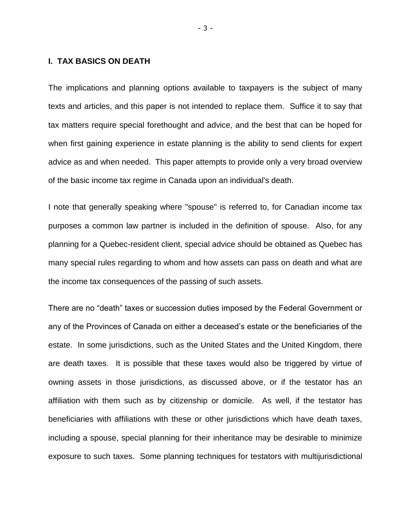# **I. TAX BASICS ON DEATH**

The implications and planning options available to taxpayers is the subject of many texts and articles, and this paper is not intended to replace them. Suffice it to say that tax matters require special forethought and advice, and the best that can be hoped for when first gaining experience in estate planning is the ability to send clients for expert advice as and when needed. This paper attempts to provide only a very broad overview of the basic income tax regime in Canada upon an individual's death.

I note that generally speaking where "spouse" is referred to, for Canadian income tax purposes a common law partner is included in the definition of spouse. Also, for any planning for a Quebec-resident client, special advice should be obtained as Quebec has many special rules regarding to whom and how assets can pass on death and what are the income tax consequences of the passing of such assets.

There are no "death" taxes or succession duties imposed by the Federal Government or any of the Provinces of Canada on either a deceased's estate or the beneficiaries of the estate. In some jurisdictions, such as the United States and the United Kingdom, there are death taxes. It is possible that these taxes would also be triggered by virtue of owning assets in those jurisdictions, as discussed above, or if the testator has an affiliation with them such as by citizenship or domicile. As well, if the testator has beneficiaries with affiliations with these or other jurisdictions which have death taxes, including a spouse, special planning for their inheritance may be desirable to minimize exposure to such taxes. Some planning techniques for testators with multijurisdictional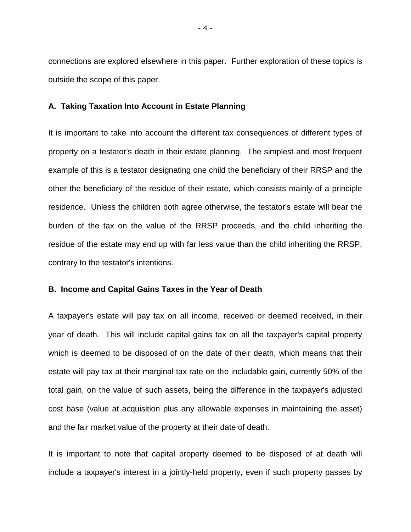connections are explored elsewhere in this paper. Further exploration of these topics is outside the scope of this paper.

#### **A. Taking Taxation Into Account in Estate Planning**

It is important to take into account the different tax consequences of different types of property on a testator's death in their estate planning. The simplest and most frequent example of this is a testator designating one child the beneficiary of their RRSP and the other the beneficiary of the residue of their estate, which consists mainly of a principle residence. Unless the children both agree otherwise, the testator's estate will bear the burden of the tax on the value of the RRSP proceeds, and the child inheriting the residue of the estate may end up with far less value than the child inheriting the RRSP, contrary to the testator's intentions.

#### **B. Income and Capital Gains Taxes in the Year of Death**

A taxpayer's estate will pay tax on all income, received or deemed received, in their year of death. This will include capital gains tax on all the taxpayer's capital property which is deemed to be disposed of on the date of their death, which means that their estate will pay tax at their marginal tax rate on the includable gain, currently 50% of the total gain, on the value of such assets, being the difference in the taxpayer's adjusted cost base (value at acquisition plus any allowable expenses in maintaining the asset) and the fair market value of the property at their date of death.

It is important to note that capital property deemed to be disposed of at death will include a taxpayer's interest in a jointly-held property, even if such property passes by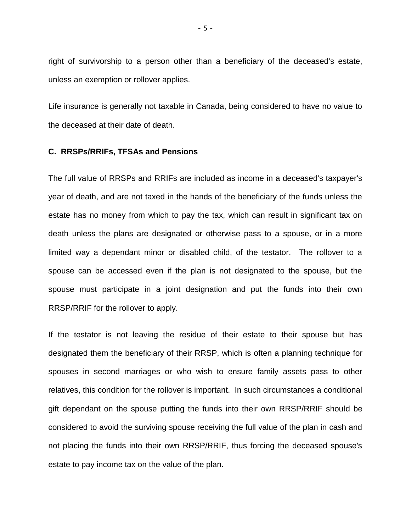right of survivorship to a person other than a beneficiary of the deceased's estate, unless an exemption or rollover applies.

Life insurance is generally not taxable in Canada, being considered to have no value to the deceased at their date of death.

#### **C. RRSPs/RRIFs, TFSAs and Pensions**

The full value of RRSPs and RRIFs are included as income in a deceased's taxpayer's year of death, and are not taxed in the hands of the beneficiary of the funds unless the estate has no money from which to pay the tax, which can result in significant tax on death unless the plans are designated or otherwise pass to a spouse, or in a more limited way a dependant minor or disabled child, of the testator. The rollover to a spouse can be accessed even if the plan is not designated to the spouse, but the spouse must participate in a joint designation and put the funds into their own RRSP/RRIF for the rollover to apply.

If the testator is not leaving the residue of their estate to their spouse but has designated them the beneficiary of their RRSP, which is often a planning technique for spouses in second marriages or who wish to ensure family assets pass to other relatives, this condition for the rollover is important. In such circumstances a conditional gift dependant on the spouse putting the funds into their own RRSP/RRIF should be considered to avoid the surviving spouse receiving the full value of the plan in cash and not placing the funds into their own RRSP/RRIF, thus forcing the deceased spouse's estate to pay income tax on the value of the plan.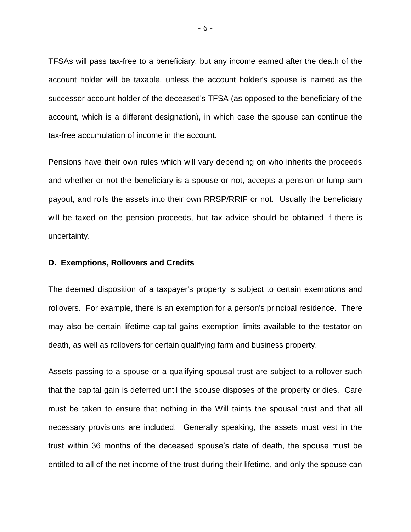TFSAs will pass tax-free to a beneficiary, but any income earned after the death of the account holder will be taxable, unless the account holder's spouse is named as the successor account holder of the deceased's TFSA (as opposed to the beneficiary of the account, which is a different designation), in which case the spouse can continue the tax-free accumulation of income in the account.

Pensions have their own rules which will vary depending on who inherits the proceeds and whether or not the beneficiary is a spouse or not, accepts a pension or lump sum payout, and rolls the assets into their own RRSP/RRIF or not. Usually the beneficiary will be taxed on the pension proceeds, but tax advice should be obtained if there is uncertainty.

#### **D. Exemptions, Rollovers and Credits**

The deemed disposition of a taxpayer's property is subject to certain exemptions and rollovers. For example, there is an exemption for a person's principal residence. There may also be certain lifetime capital gains exemption limits available to the testator on death, as well as rollovers for certain qualifying farm and business property.

Assets passing to a spouse or a qualifying spousal trust are subject to a rollover such that the capital gain is deferred until the spouse disposes of the property or dies. Care must be taken to ensure that nothing in the Will taints the spousal trust and that all necessary provisions are included. Generally speaking, the assets must vest in the trust within 36 months of the deceased spouse's date of death, the spouse must be entitled to all of the net income of the trust during their lifetime, and only the spouse can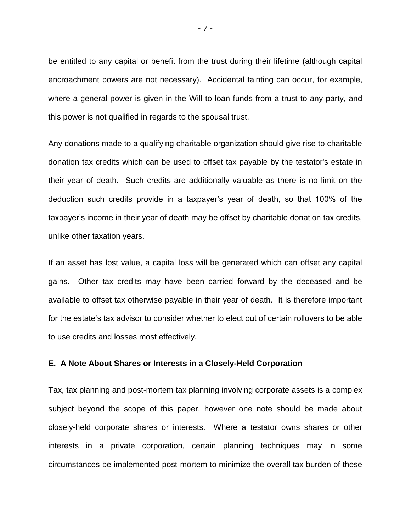be entitled to any capital or benefit from the trust during their lifetime (although capital encroachment powers are not necessary). Accidental tainting can occur, for example, where a general power is given in the Will to loan funds from a trust to any party, and this power is not qualified in regards to the spousal trust.

Any donations made to a qualifying charitable organization should give rise to charitable donation tax credits which can be used to offset tax payable by the testator's estate in their year of death. Such credits are additionally valuable as there is no limit on the deduction such credits provide in a taxpayer's year of death, so that 100% of the taxpayer's income in their year of death may be offset by charitable donation tax credits, unlike other taxation years.

If an asset has lost value, a capital loss will be generated which can offset any capital gains. Other tax credits may have been carried forward by the deceased and be available to offset tax otherwise payable in their year of death. It is therefore important for the estate's tax advisor to consider whether to elect out of certain rollovers to be able to use credits and losses most effectively.

#### **E. A Note About Shares or Interests in a Closely-Held Corporation**

Tax, tax planning and post-mortem tax planning involving corporate assets is a complex subject beyond the scope of this paper, however one note should be made about closely-held corporate shares or interests. Where a testator owns shares or other interests in a private corporation, certain planning techniques may in some circumstances be implemented post-mortem to minimize the overall tax burden of these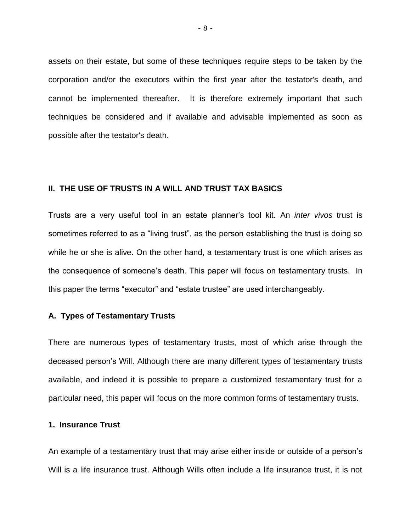assets on their estate, but some of these techniques require steps to be taken by the corporation and/or the executors within the first year after the testator's death, and cannot be implemented thereafter. It is therefore extremely important that such techniques be considered and if available and advisable implemented as soon as possible after the testator's death.

# **II. THE USE OF TRUSTS IN A WILL AND TRUST TAX BASICS**

Trusts are a very useful tool in an estate planner's tool kit. An *inter vivos* trust is sometimes referred to as a "living trust", as the person establishing the trust is doing so while he or she is alive. On the other hand, a testamentary trust is one which arises as the consequence of someone's death. This paper will focus on testamentary trusts. In this paper the terms "executor" and "estate trustee" are used interchangeably.

#### **A. Types of Testamentary Trusts**

There are numerous types of testamentary trusts, most of which arise through the deceased person's Will. Although there are many different types of testamentary trusts available, and indeed it is possible to prepare a customized testamentary trust for a particular need, this paper will focus on the more common forms of testamentary trusts.

# **1. Insurance Trust**

An example of a testamentary trust that may arise either inside or outside of a person's Will is a life insurance trust. Although Wills often include a life insurance trust, it is not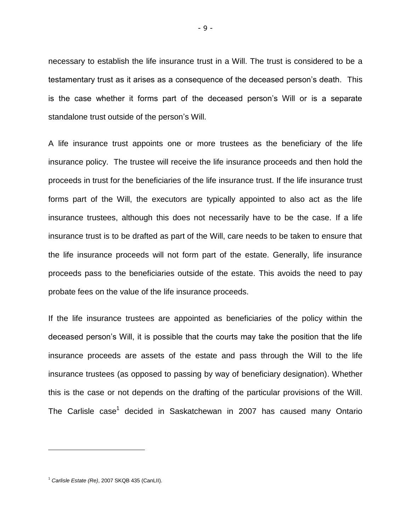necessary to establish the life insurance trust in a Will. The trust is considered to be a testamentary trust as it arises as a consequence of the deceased person's death. This is the case whether it forms part of the deceased person's Will or is a separate standalone trust outside of the person's Will.

A life insurance trust appoints one or more trustees as the beneficiary of the life insurance policy. The trustee will receive the life insurance proceeds and then hold the proceeds in trust for the beneficiaries of the life insurance trust. If the life insurance trust forms part of the Will, the executors are typically appointed to also act as the life insurance trustees, although this does not necessarily have to be the case. If a life insurance trust is to be drafted as part of the Will, care needs to be taken to ensure that the life insurance proceeds will not form part of the estate. Generally, life insurance proceeds pass to the beneficiaries outside of the estate. This avoids the need to pay probate fees on the value of the life insurance proceeds.

If the life insurance trustees are appointed as beneficiaries of the policy within the deceased person's Will, it is possible that the courts may take the position that the life insurance proceeds are assets of the estate and pass through the Will to the life insurance trustees (as opposed to passing by way of beneficiary designation). Whether this is the case or not depends on the drafting of the particular provisions of the Will. The Carlisle case<sup>1</sup> decided in Saskatchewan in 2007 has caused many Ontario

 $\overline{a}$ 

<sup>1</sup> *Carlisle Estate (Re)*, 2007 SKQB 435 (CanLII).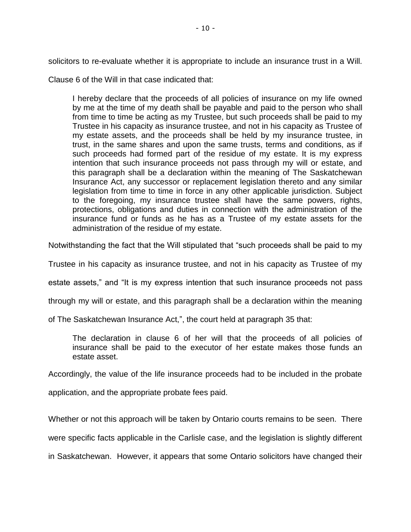solicitors to re-evaluate whether it is appropriate to include an insurance trust in a Will.

Clause 6 of the Will in that case indicated that:

I hereby declare that the proceeds of all policies of insurance on my life owned by me at the time of my death shall be payable and paid to the person who shall from time to time be acting as my Trustee, but such proceeds shall be paid to my Trustee in his capacity as insurance trustee, and not in his capacity as Trustee of my estate assets, and the proceeds shall be held by my insurance trustee, in trust, in the same shares and upon the same trusts, terms and conditions, as if such proceeds had formed part of the residue of my estate. It is my express intention that such insurance proceeds not pass through my will or estate, and this paragraph shall be a declaration within the meaning of The Saskatchewan Insurance Act, any successor or replacement legislation thereto and any similar legislation from time to time in force in any other applicable jurisdiction. Subject to the foregoing, my insurance trustee shall have the same powers, rights, protections, obligations and duties in connection with the administration of the insurance fund or funds as he has as a Trustee of my estate assets for the administration of the residue of my estate.

Notwithstanding the fact that the Will stipulated that "such proceeds shall be paid to my

Trustee in his capacity as insurance trustee, and not in his capacity as Trustee of my

estate assets," and "It is my express intention that such insurance proceeds not pass

through my will or estate, and this paragraph shall be a declaration within the meaning

of The Saskatchewan Insurance Act,", the court held at paragraph 35 that:

The declaration in clause 6 of her will that the proceeds of all policies of insurance shall be paid to the executor of her estate makes those funds an estate asset.

Accordingly, the value of the life insurance proceeds had to be included in the probate

application, and the appropriate probate fees paid.

Whether or not this approach will be taken by Ontario courts remains to be seen. There

were specific facts applicable in the Carlisle case, and the legislation is slightly different

in Saskatchewan. However, it appears that some Ontario solicitors have changed their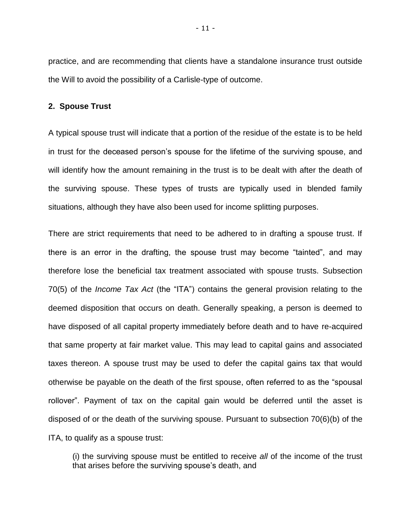practice, and are recommending that clients have a standalone insurance trust outside the Will to avoid the possibility of a Carlisle-type of outcome.

#### **2. Spouse Trust**

A typical spouse trust will indicate that a portion of the residue of the estate is to be held in trust for the deceased person's spouse for the lifetime of the surviving spouse, and will identify how the amount remaining in the trust is to be dealt with after the death of the surviving spouse. These types of trusts are typically used in blended family situations, although they have also been used for income splitting purposes.

There are strict requirements that need to be adhered to in drafting a spouse trust. If there is an error in the drafting, the spouse trust may become "tainted", and may therefore lose the beneficial tax treatment associated with spouse trusts. Subsection 70(5) of the *Income Tax Act* (the "ITA") contains the general provision relating to the deemed disposition that occurs on death. Generally speaking, a person is deemed to have disposed of all capital property immediately before death and to have re-acquired that same property at fair market value. This may lead to capital gains and associated taxes thereon. A spouse trust may be used to defer the capital gains tax that would otherwise be payable on the death of the first spouse, often referred to as the "spousal rollover". Payment of tax on the capital gain would be deferred until the asset is disposed of or the death of the surviving spouse. Pursuant to subsection 70(6)(b) of the ITA, to qualify as a spouse trust:

(i) the surviving spouse must be entitled to receive *all* of the income of the trust that arises before the surviving spouse's death, and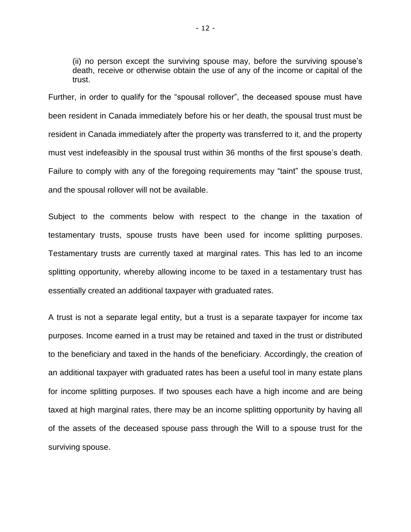(ii) no person except the surviving spouse may, before the surviving spouse's death, receive or otherwise obtain the use of any of the income or capital of the trust.

Further, in order to qualify for the "spousal rollover", the deceased spouse must have been resident in Canada immediately before his or her death, the spousal trust must be resident in Canada immediately after the property was transferred to it, and the property must vest indefeasibly in the spousal trust within 36 months of the first spouse's death. Failure to comply with any of the foregoing requirements may "taint" the spouse trust, and the spousal rollover will not be available.

Subject to the comments below with respect to the change in the taxation of testamentary trusts, spouse trusts have been used for income splitting purposes. Testamentary trusts are currently taxed at marginal rates. This has led to an income splitting opportunity, whereby allowing income to be taxed in a testamentary trust has essentially created an additional taxpayer with graduated rates.

A trust is not a separate legal entity, but a trust is a separate taxpayer for income tax purposes. Income earned in a trust may be retained and taxed in the trust or distributed to the beneficiary and taxed in the hands of the beneficiary. Accordingly, the creation of an additional taxpayer with graduated rates has been a useful tool in many estate plans for income splitting purposes. If two spouses each have a high income and are being taxed at high marginal rates, there may be an income splitting opportunity by having all of the assets of the deceased spouse pass through the Will to a spouse trust for the surviving spouse.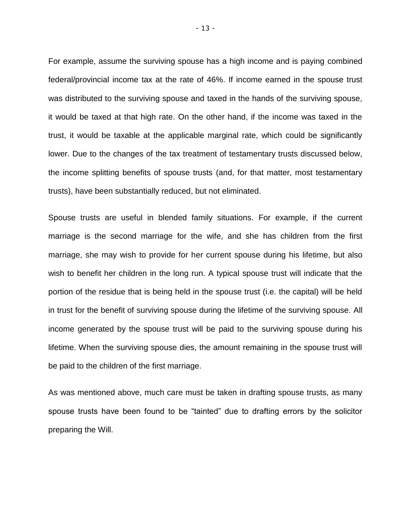For example, assume the surviving spouse has a high income and is paying combined federal/provincial income tax at the rate of 46%. If income earned in the spouse trust was distributed to the surviving spouse and taxed in the hands of the surviving spouse, it would be taxed at that high rate. On the other hand, if the income was taxed in the trust, it would be taxable at the applicable marginal rate, which could be significantly lower. Due to the changes of the tax treatment of testamentary trusts discussed below, the income splitting benefits of spouse trusts (and, for that matter, most testamentary trusts), have been substantially reduced, but not eliminated.

Spouse trusts are useful in blended family situations. For example, if the current marriage is the second marriage for the wife, and she has children from the first marriage, she may wish to provide for her current spouse during his lifetime, but also wish to benefit her children in the long run. A typical spouse trust will indicate that the portion of the residue that is being held in the spouse trust (i.e. the capital) will be held in trust for the benefit of surviving spouse during the lifetime of the surviving spouse. All income generated by the spouse trust will be paid to the surviving spouse during his lifetime. When the surviving spouse dies, the amount remaining in the spouse trust will be paid to the children of the first marriage.

As was mentioned above, much care must be taken in drafting spouse trusts, as many spouse trusts have been found to be "tainted" due to drafting errors by the solicitor preparing the Will.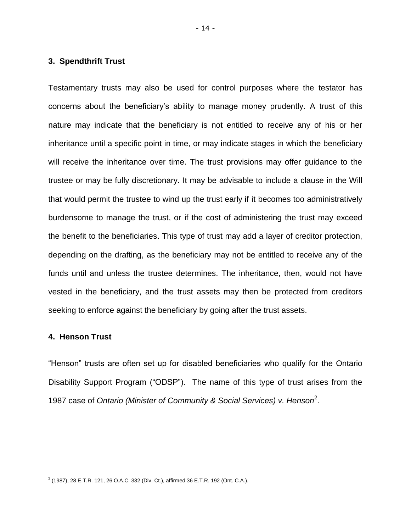# **3. Spendthrift Trust**

Testamentary trusts may also be used for control purposes where the testator has concerns about the beneficiary's ability to manage money prudently. A trust of this nature may indicate that the beneficiary is not entitled to receive any of his or her inheritance until a specific point in time, or may indicate stages in which the beneficiary will receive the inheritance over time. The trust provisions may offer guidance to the trustee or may be fully discretionary. It may be advisable to include a clause in the Will that would permit the trustee to wind up the trust early if it becomes too administratively burdensome to manage the trust, or if the cost of administering the trust may exceed the benefit to the beneficiaries. This type of trust may add a layer of creditor protection, depending on the drafting, as the beneficiary may not be entitled to receive any of the funds until and unless the trustee determines. The inheritance, then, would not have vested in the beneficiary, and the trust assets may then be protected from creditors seeking to enforce against the beneficiary by going after the trust assets.

# **4. Henson Trust**

 $\overline{a}$ 

"Henson" trusts are often set up for disabled beneficiaries who qualify for the Ontario Disability Support Program ("ODSP"). The name of this type of trust arises from the 1987 case of *Ontario (Minister of Community & Social Services) v. Henson*<sup>2</sup> .

 $2$  (1987), 28 E.T.R. 121, 26 O.A.C. 332 (Div. Ct.), affirmed 36 E.T.R. 192 (Ont. C.A.).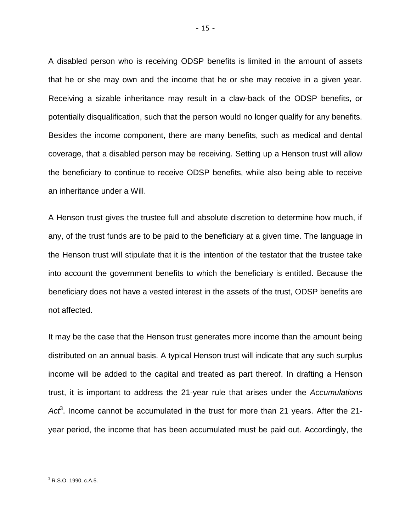A disabled person who is receiving ODSP benefits is limited in the amount of assets that he or she may own and the income that he or she may receive in a given year. Receiving a sizable inheritance may result in a claw-back of the ODSP benefits, or potentially disqualification, such that the person would no longer qualify for any benefits. Besides the income component, there are many benefits, such as medical and dental coverage, that a disabled person may be receiving. Setting up a Henson trust will allow the beneficiary to continue to receive ODSP benefits, while also being able to receive an inheritance under a Will.

A Henson trust gives the trustee full and absolute discretion to determine how much, if any, of the trust funds are to be paid to the beneficiary at a given time. The language in the Henson trust will stipulate that it is the intention of the testator that the trustee take into account the government benefits to which the beneficiary is entitled. Because the beneficiary does not have a vested interest in the assets of the trust, ODSP benefits are not affected.

It may be the case that the Henson trust generates more income than the amount being distributed on an annual basis. A typical Henson trust will indicate that any such surplus income will be added to the capital and treated as part thereof. In drafting a Henson trust, it is important to address the 21-year rule that arises under the *Accumulations*  Act<sup>3</sup>. Income cannot be accumulated in the trust for more than 21 years. After the 21year period, the income that has been accumulated must be paid out. Accordingly, the

 $\overline{a}$ 

<sup>3</sup> R.S.O. 1990, c.A.5.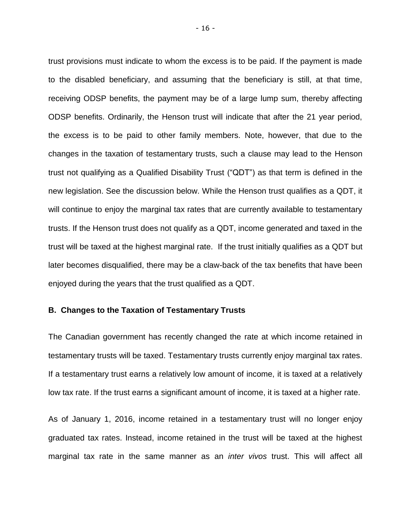trust provisions must indicate to whom the excess is to be paid. If the payment is made to the disabled beneficiary, and assuming that the beneficiary is still, at that time, receiving ODSP benefits, the payment may be of a large lump sum, thereby affecting ODSP benefits. Ordinarily, the Henson trust will indicate that after the 21 year period, the excess is to be paid to other family members. Note, however, that due to the changes in the taxation of testamentary trusts, such a clause may lead to the Henson trust not qualifying as a Qualified Disability Trust ("QDT") as that term is defined in the new legislation. See the discussion below. While the Henson trust qualifies as a QDT, it will continue to enjoy the marginal tax rates that are currently available to testamentary trusts. If the Henson trust does not qualify as a QDT, income generated and taxed in the trust will be taxed at the highest marginal rate. If the trust initially qualifies as a QDT but later becomes disqualified, there may be a claw-back of the tax benefits that have been enjoyed during the years that the trust qualified as a QDT.

# **B. Changes to the Taxation of Testamentary Trusts**

The Canadian government has recently changed the rate at which income retained in testamentary trusts will be taxed. Testamentary trusts currently enjoy marginal tax rates. If a testamentary trust earns a relatively low amount of income, it is taxed at a relatively low tax rate. If the trust earns a significant amount of income, it is taxed at a higher rate.

As of January 1, 2016, income retained in a testamentary trust will no longer enjoy graduated tax rates. Instead, income retained in the trust will be taxed at the highest marginal tax rate in the same manner as an *inter vivos* trust. This will affect all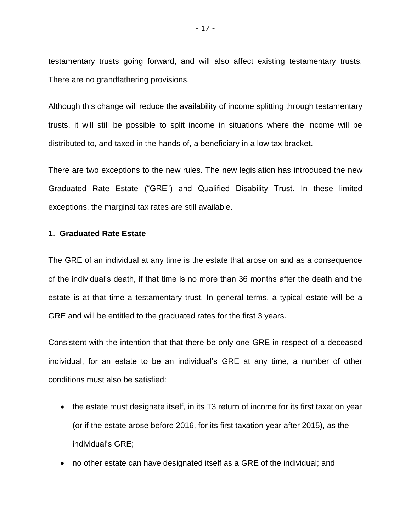testamentary trusts going forward, and will also affect existing testamentary trusts. There are no grandfathering provisions.

Although this change will reduce the availability of income splitting through testamentary trusts, it will still be possible to split income in situations where the income will be distributed to, and taxed in the hands of, a beneficiary in a low tax bracket.

There are two exceptions to the new rules. The new legislation has introduced the new Graduated Rate Estate ("GRE") and Qualified Disability Trust. In these limited exceptions, the marginal tax rates are still available.

# **1. Graduated Rate Estate**

The GRE of an individual at any time is the estate that arose on and as a consequence of the individual's death, if that time is no more than 36 months after the death and the estate is at that time a testamentary trust. In general terms, a typical estate will be a GRE and will be entitled to the graduated rates for the first 3 years.

Consistent with the intention that that there be only one GRE in respect of a deceased individual, for an estate to be an individual's GRE at any time, a number of other conditions must also be satisfied:

- the estate must designate itself, in its T3 return of income for its first taxation year (or if the estate arose before 2016, for its first taxation year after 2015), as the individual's GRE;
- no other estate can have designated itself as a GRE of the individual; and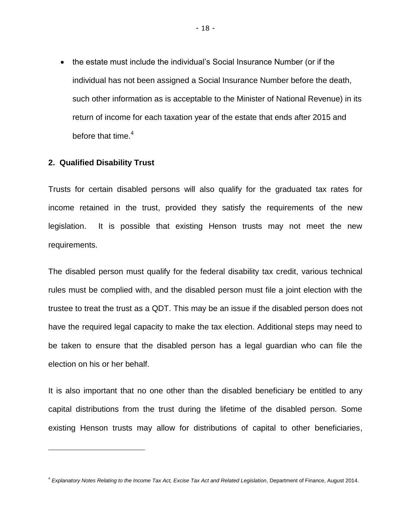• the estate must include the individual's Social Insurance Number (or if the individual has not been assigned a Social Insurance Number before the death, such other information as is acceptable to the Minister of National Revenue) in its return of income for each taxation year of the estate that ends after 2015 and before that time. $4$ 

#### **2. Qualified Disability Trust**

 $\overline{a}$ 

Trusts for certain disabled persons will also qualify for the graduated tax rates for income retained in the trust, provided they satisfy the requirements of the new legislation. It is possible that existing Henson trusts may not meet the new requirements.

The disabled person must qualify for the federal disability tax credit, various technical rules must be complied with, and the disabled person must file a joint election with the trustee to treat the trust as a QDT. This may be an issue if the disabled person does not have the required legal capacity to make the tax election. Additional steps may need to be taken to ensure that the disabled person has a legal guardian who can file the election on his or her behalf.

It is also important that no one other than the disabled beneficiary be entitled to any capital distributions from the trust during the lifetime of the disabled person. Some existing Henson trusts may allow for distributions of capital to other beneficiaries,

<sup>4</sup> *Explanatory Notes Relating to the Income Tax Act, Excise Tax Act and Related Legislation*, Department of Finance, August 2014.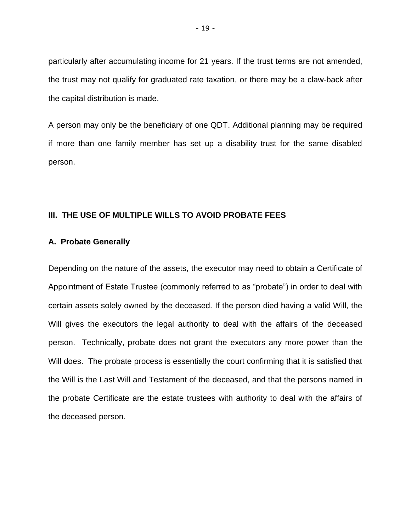particularly after accumulating income for 21 years. If the trust terms are not amended, the trust may not qualify for graduated rate taxation, or there may be a claw-back after the capital distribution is made.

A person may only be the beneficiary of one QDT. Additional planning may be required if more than one family member has set up a disability trust for the same disabled person.

# **III. THE USE OF MULTIPLE WILLS TO AVOID PROBATE FEES**

#### **A. Probate Generally**

Depending on the nature of the assets, the executor may need to obtain a Certificate of Appointment of Estate Trustee (commonly referred to as "probate") in order to deal with certain assets solely owned by the deceased. If the person died having a valid Will, the Will gives the executors the legal authority to deal with the affairs of the deceased person. Technically, probate does not grant the executors any more power than the Will does. The probate process is essentially the court confirming that it is satisfied that the Will is the Last Will and Testament of the deceased, and that the persons named in the probate Certificate are the estate trustees with authority to deal with the affairs of the deceased person.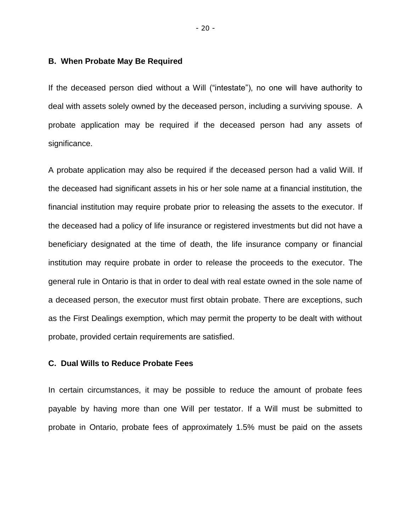#### **B. When Probate May Be Required**

If the deceased person died without a Will ("intestate"), no one will have authority to deal with assets solely owned by the deceased person, including a surviving spouse. A probate application may be required if the deceased person had any assets of significance.

A probate application may also be required if the deceased person had a valid Will. If the deceased had significant assets in his or her sole name at a financial institution, the financial institution may require probate prior to releasing the assets to the executor. If the deceased had a policy of life insurance or registered investments but did not have a beneficiary designated at the time of death, the life insurance company or financial institution may require probate in order to release the proceeds to the executor. The general rule in Ontario is that in order to deal with real estate owned in the sole name of a deceased person, the executor must first obtain probate. There are exceptions, such as the First Dealings exemption, which may permit the property to be dealt with without probate, provided certain requirements are satisfied.

# **C. Dual Wills to Reduce Probate Fees**

In certain circumstances, it may be possible to reduce the amount of probate fees payable by having more than one Will per testator. If a Will must be submitted to probate in Ontario, probate fees of approximately 1.5% must be paid on the assets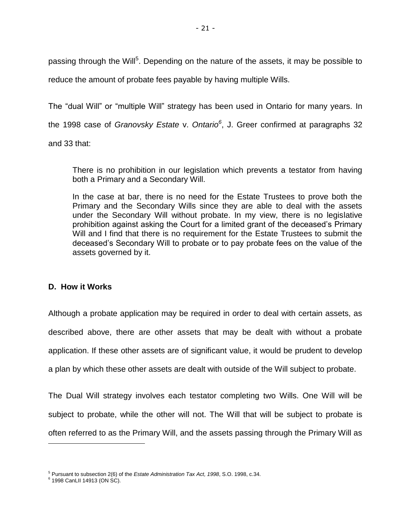passing through the Will<sup>5</sup>. Depending on the nature of the assets, it may be possible to reduce the amount of probate fees payable by having multiple Wills.

The "dual Will" or "multiple Will" strategy has been used in Ontario for many years. In

the 1998 case of *Granovsky Estate* v. *Ontario<sup>6</sup>* , J. Greer confirmed at paragraphs 32

and 33 that:

There is no prohibition in our legislation which prevents a testator from having both a Primary and a Secondary Will.

In the case at bar, there is no need for the Estate Trustees to prove both the Primary and the Secondary Wills since they are able to deal with the assets under the Secondary Will without probate. In my view, there is no legislative prohibition against asking the Court for a limited grant of the deceased's Primary Will and I find that there is no requirement for the Estate Trustees to submit the deceased's Secondary Will to probate or to pay probate fees on the value of the assets governed by it.

# **D. How it Works**

Although a probate application may be required in order to deal with certain assets, as described above, there are other assets that may be dealt with without a probate application. If these other assets are of significant value, it would be prudent to develop a plan by which these other assets are dealt with outside of the Will subject to probate.

The Dual Will strategy involves each testator completing two Wills. One Will will be subject to probate, while the other will not. The Will that will be subject to probate is often referred to as the Primary Will, and the assets passing through the Primary Will as

<sup>5</sup> Pursuant to subsection 2(6) of the *Estate Administration Tax Act, 1998*, S.O. 1998, c.34.

<sup>6</sup> 1998 CanLII 14913 (ON SC).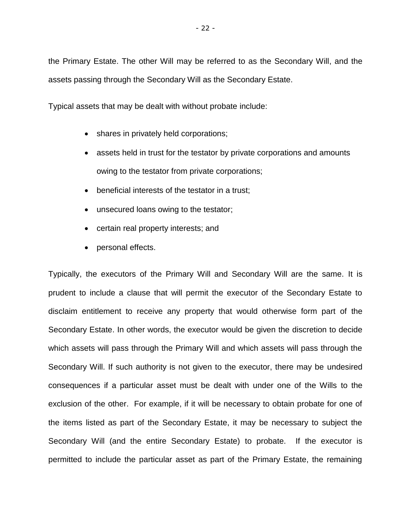the Primary Estate. The other Will may be referred to as the Secondary Will, and the assets passing through the Secondary Will as the Secondary Estate.

Typical assets that may be dealt with without probate include:

- shares in privately held corporations;
- assets held in trust for the testator by private corporations and amounts owing to the testator from private corporations;
- beneficial interests of the testator in a trust;
- unsecured loans owing to the testator;
- certain real property interests; and
- personal effects.

Typically, the executors of the Primary Will and Secondary Will are the same. It is prudent to include a clause that will permit the executor of the Secondary Estate to disclaim entitlement to receive any property that would otherwise form part of the Secondary Estate. In other words, the executor would be given the discretion to decide which assets will pass through the Primary Will and which assets will pass through the Secondary Will. If such authority is not given to the executor, there may be undesired consequences if a particular asset must be dealt with under one of the Wills to the exclusion of the other. For example, if it will be necessary to obtain probate for one of the items listed as part of the Secondary Estate, it may be necessary to subject the Secondary Will (and the entire Secondary Estate) to probate. If the executor is permitted to include the particular asset as part of the Primary Estate, the remaining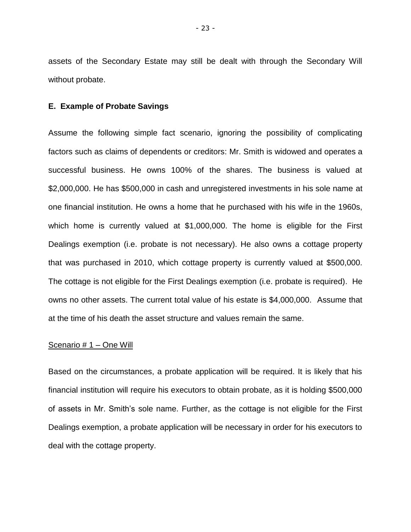assets of the Secondary Estate may still be dealt with through the Secondary Will without probate.

#### **E. Example of Probate Savings**

Assume the following simple fact scenario, ignoring the possibility of complicating factors such as claims of dependents or creditors: Mr. Smith is widowed and operates a successful business. He owns 100% of the shares. The business is valued at \$2,000,000. He has \$500,000 in cash and unregistered investments in his sole name at one financial institution. He owns a home that he purchased with his wife in the 1960s, which home is currently valued at \$1,000,000. The home is eligible for the First Dealings exemption (i.e. probate is not necessary). He also owns a cottage property that was purchased in 2010, which cottage property is currently valued at \$500,000. The cottage is not eligible for the First Dealings exemption (i.e. probate is required). He owns no other assets. The current total value of his estate is \$4,000,000. Assume that at the time of his death the asset structure and values remain the same.

#### Scenario # 1 – One Will

Based on the circumstances, a probate application will be required. It is likely that his financial institution will require his executors to obtain probate, as it is holding \$500,000 of assets in Mr. Smith's sole name. Further, as the cottage is not eligible for the First Dealings exemption, a probate application will be necessary in order for his executors to deal with the cottage property.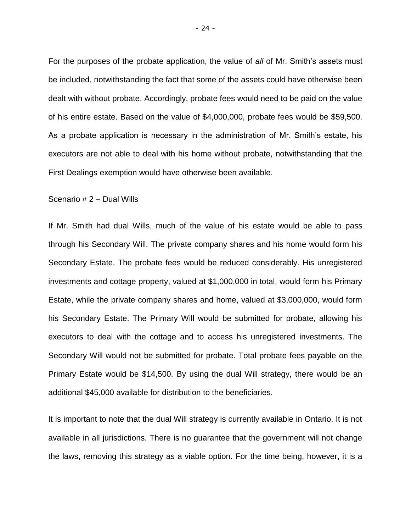For the purposes of the probate application, the value of *all* of Mr. Smith's assets must be included, notwithstanding the fact that some of the assets could have otherwise been dealt with without probate. Accordingly, probate fees would need to be paid on the value of his entire estate. Based on the value of \$4,000,000, probate fees would be \$59,500. As a probate application is necessary in the administration of Mr. Smith's estate, his executors are not able to deal with his home without probate, notwithstanding that the First Dealings exemption would have otherwise been available.

#### Scenario # 2 – Dual Wills

If Mr. Smith had dual Wills, much of the value of his estate would be able to pass through his Secondary Will. The private company shares and his home would form his Secondary Estate. The probate fees would be reduced considerably. His unregistered investments and cottage property, valued at \$1,000,000 in total, would form his Primary Estate, while the private company shares and home, valued at \$3,000,000, would form his Secondary Estate. The Primary Will would be submitted for probate, allowing his executors to deal with the cottage and to access his unregistered investments. The Secondary Will would not be submitted for probate. Total probate fees payable on the Primary Estate would be \$14,500. By using the dual Will strategy, there would be an additional \$45,000 available for distribution to the beneficiaries.

It is important to note that the dual Will strategy is currently available in Ontario. It is not available in all jurisdictions. There is no guarantee that the government will not change the laws, removing this strategy as a viable option. For the time being, however, it is a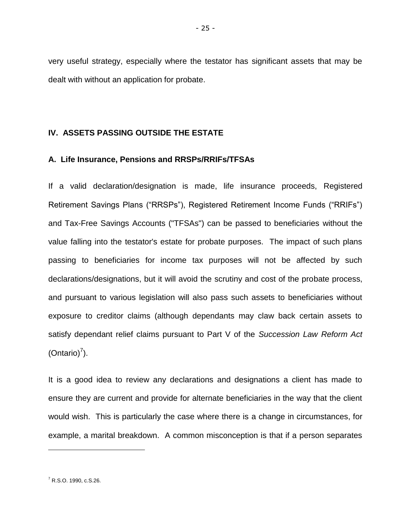very useful strategy, especially where the testator has significant assets that may be dealt with without an application for probate.

# **IV. ASSETS PASSING OUTSIDE THE ESTATE**

# **A. Life Insurance, Pensions and RRSPs/RRIFs/TFSAs**

If a valid declaration/designation is made, life insurance proceeds, Registered Retirement Savings Plans ("RRSPs"), Registered Retirement Income Funds ("RRIFs") and Tax-Free Savings Accounts ("TFSAs") can be passed to beneficiaries without the value falling into the testator's estate for probate purposes. The impact of such plans passing to beneficiaries for income tax purposes will not be affected by such declarations/designations, but it will avoid the scrutiny and cost of the probate process, and pursuant to various legislation will also pass such assets to beneficiaries without exposure to creditor claims (although dependants may claw back certain assets to satisfy dependant relief claims pursuant to Part V of the *Succession Law Reform Act* (Ontario) $<sup>7</sup>$ ).</sup>

It is a good idea to review any declarations and designations a client has made to ensure they are current and provide for alternate beneficiaries in the way that the client would wish. This is particularly the case where there is a change in circumstances, for example, a marital breakdown. A common misconception is that if a person separates

 $\overline{a}$ 

<sup>7</sup> R.S.O. 1990, c.S.26.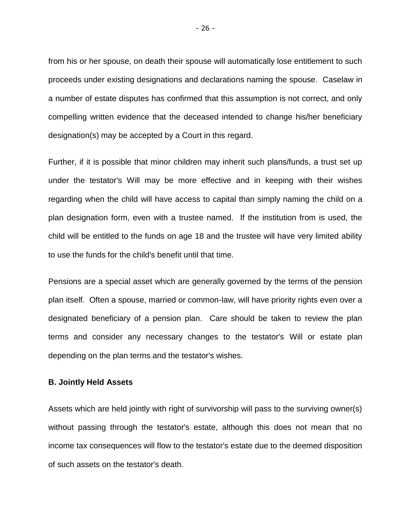from his or her spouse, on death their spouse will automatically lose entitlement to such proceeds under existing designations and declarations naming the spouse. Caselaw in a number of estate disputes has confirmed that this assumption is not correct, and only compelling written evidence that the deceased intended to change his/her beneficiary designation(s) may be accepted by a Court in this regard.

Further, if it is possible that minor children may inherit such plans/funds, a trust set up under the testator's Will may be more effective and in keeping with their wishes regarding when the child will have access to capital than simply naming the child on a plan designation form, even with a trustee named. If the institution from is used, the child will be entitled to the funds on age 18 and the trustee will have very limited ability to use the funds for the child's benefit until that time.

Pensions are a special asset which are generally governed by the terms of the pension plan itself. Often a spouse, married or common-law, will have priority rights even over a designated beneficiary of a pension plan. Care should be taken to review the plan terms and consider any necessary changes to the testator's Will or estate plan depending on the plan terms and the testator's wishes.

# **B. Jointly Held Assets**

Assets which are held jointly with right of survivorship will pass to the surviving owner(s) without passing through the testator's estate, although this does not mean that no income tax consequences will flow to the testator's estate due to the deemed disposition of such assets on the testator's death.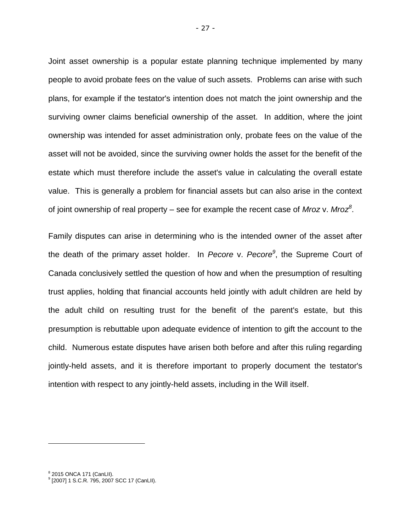Joint asset ownership is a popular estate planning technique implemented by many people to avoid probate fees on the value of such assets. Problems can arise with such plans, for example if the testator's intention does not match the joint ownership and the surviving owner claims beneficial ownership of the asset. In addition, where the joint ownership was intended for asset administration only, probate fees on the value of the asset will not be avoided, since the surviving owner holds the asset for the benefit of the estate which must therefore include the asset's value in calculating the overall estate value. This is generally a problem for financial assets but can also arise in the context of joint ownership of real property – see for example the recent case of *Mroz* v. *Mroz<sup>8</sup>* .

Family disputes can arise in determining who is the intended owner of the asset after the death of the primary asset holder. In *Pecore* v. *Pecore<sup>9</sup>* , the Supreme Court of Canada conclusively settled the question of how and when the presumption of resulting trust applies, holding that financial accounts held jointly with adult children are held by the adult child on resulting trust for the benefit of the parent's estate, but this presumption is rebuttable upon adequate evidence of intention to gift the account to the child. Numerous estate disputes have arisen both before and after this ruling regarding jointly-held assets, and it is therefore important to properly document the testator's intention with respect to any jointly-held assets, including in the Will itself.

<sup>&</sup>lt;sup>8</sup> 2015 ONCA 171 (CanLII).

<sup>9</sup> [2007] 1 S.C.R. 795, 2007 SCC 17 (CanLII).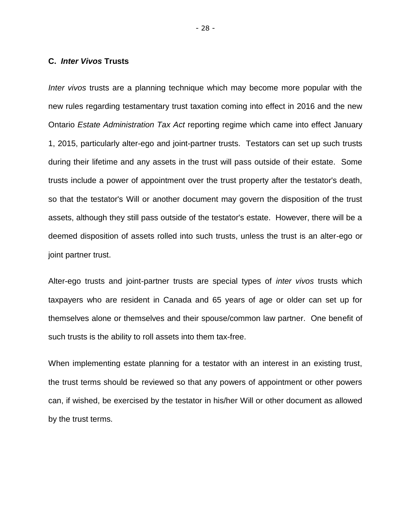#### **C.** *Inter Vivos* **Trusts**

*Inter vivos* trusts are a planning technique which may become more popular with the new rules regarding testamentary trust taxation coming into effect in 2016 and the new Ontario *Estate Administration Tax Act* reporting regime which came into effect January 1, 2015, particularly alter-ego and joint-partner trusts. Testators can set up such trusts during their lifetime and any assets in the trust will pass outside of their estate. Some trusts include a power of appointment over the trust property after the testator's death, so that the testator's Will or another document may govern the disposition of the trust assets, although they still pass outside of the testator's estate. However, there will be a deemed disposition of assets rolled into such trusts, unless the trust is an alter-ego or joint partner trust.

Alter-ego trusts and joint-partner trusts are special types of *inter vivos* trusts which taxpayers who are resident in Canada and 65 years of age or older can set up for themselves alone or themselves and their spouse/common law partner. One benefit of such trusts is the ability to roll assets into them tax-free.

When implementing estate planning for a testator with an interest in an existing trust, the trust terms should be reviewed so that any powers of appointment or other powers can, if wished, be exercised by the testator in his/her Will or other document as allowed by the trust terms.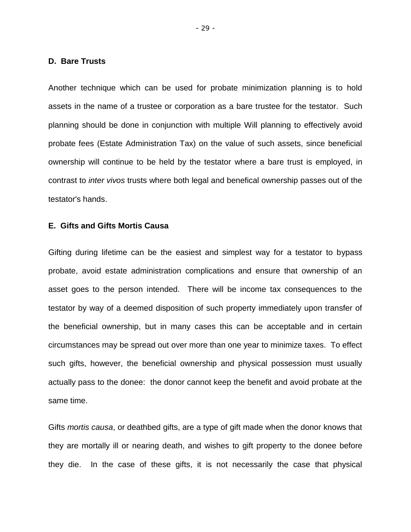#### **D. Bare Trusts**

Another technique which can be used for probate minimization planning is to hold assets in the name of a trustee or corporation as a bare trustee for the testator. Such planning should be done in conjunction with multiple Will planning to effectively avoid probate fees (Estate Administration Tax) on the value of such assets, since beneficial ownership will continue to be held by the testator where a bare trust is employed, in contrast to *inter vivos* trusts where both legal and benefical ownership passes out of the testator's hands.

#### **E. Gifts and Gifts Mortis Causa**

Gifting during lifetime can be the easiest and simplest way for a testator to bypass probate, avoid estate administration complications and ensure that ownership of an asset goes to the person intended. There will be income tax consequences to the testator by way of a deemed disposition of such property immediately upon transfer of the beneficial ownership, but in many cases this can be acceptable and in certain circumstances may be spread out over more than one year to minimize taxes. To effect such gifts, however, the beneficial ownership and physical possession must usually actually pass to the donee: the donor cannot keep the benefit and avoid probate at the same time.

Gifts *mortis causa*, or deathbed gifts, are a type of gift made when the donor knows that they are mortally ill or nearing death, and wishes to gift property to the donee before they die. In the case of these gifts, it is not necessarily the case that physical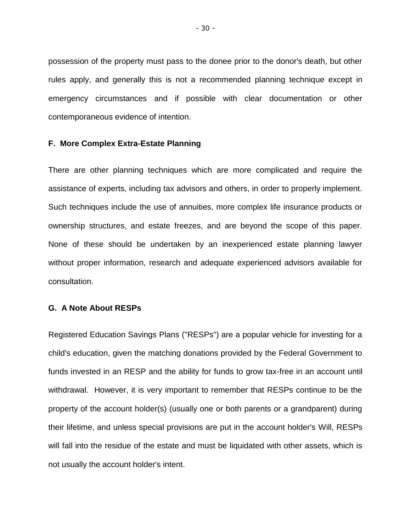possession of the property must pass to the donee prior to the donor's death, but other rules apply, and generally this is not a recommended planning technique except in emergency circumstances and if possible with clear documentation or other contemporaneous evidence of intention.

#### **F. More Complex Extra-Estate Planning**

There are other planning techniques which are more complicated and require the assistance of experts, including tax advisors and others, in order to properly implement. Such techniques include the use of annuities, more complex life insurance products or ownership structures, and estate freezes, and are beyond the scope of this paper. None of these should be undertaken by an inexperienced estate planning lawyer without proper information, research and adequate experienced advisors available for consultation.

# **G. A Note About RESPs**

Registered Education Savings Plans ("RESPs") are a popular vehicle for investing for a child's education, given the matching donations provided by the Federal Government to funds invested in an RESP and the ability for funds to grow tax-free in an account until withdrawal. However, it is very important to remember that RESPs continue to be the property of the account holder(s) (usually one or both parents or a grandparent) during their lifetime, and unless special provisions are put in the account holder's Will, RESPs will fall into the residue of the estate and must be liquidated with other assets, which is not usually the account holder's intent.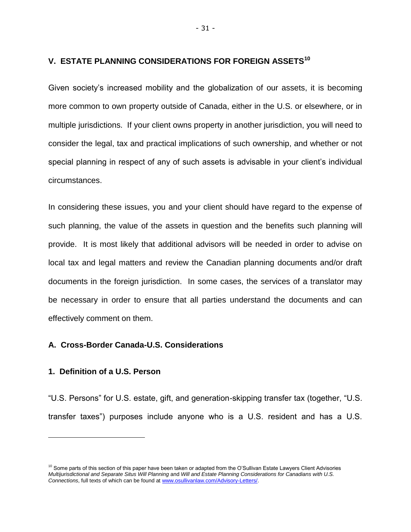# **V. ESTATE PLANNING CONSIDERATIONS FOR FOREIGN ASSETS<sup>10</sup>**

Given society's increased mobility and the globalization of our assets, it is becoming more common to own property outside of Canada, either in the U.S. or elsewhere, or in multiple jurisdictions. If your client owns property in another jurisdiction, you will need to consider the legal, tax and practical implications of such ownership, and whether or not special planning in respect of any of such assets is advisable in your client's individual circumstances.

In considering these issues, you and your client should have regard to the expense of such planning, the value of the assets in question and the benefits such planning will provide. It is most likely that additional advisors will be needed in order to advise on local tax and legal matters and review the Canadian planning documents and/or draft documents in the foreign jurisdiction. In some cases, the services of a translator may be necessary in order to ensure that all parties understand the documents and can effectively comment on them.

# **A. Cross-Border Canada-U.S. Considerations**

#### **1. Definition of a U.S. Person**

-

"U.S. Persons" for U.S. estate, gift, and generation-skipping transfer tax (together, "U.S. transfer taxes") purposes include anyone who is a U.S. resident and has a U.S.

 $10$  Some parts of this section of this paper have been taken or adapted from the O'Sullivan Estate Lawyers Client Advisories *Multijurisdictional and Separate Situs Will Planning* and *Will and Estate Planning Considerations for Canadians with U.S. Connections*, full texts of which can be found a[t www.osullivanlaw.com/Advisory-Letters/.](http://www.osullivanlaw.com/Advisory-Letters/)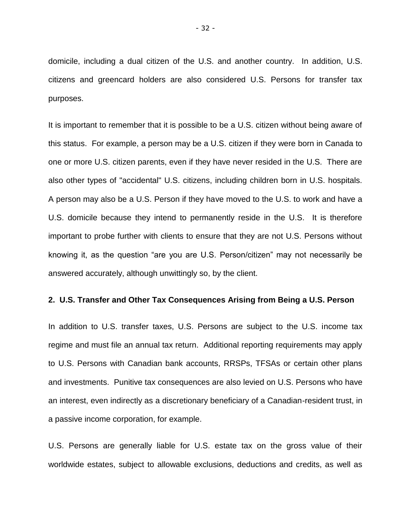domicile, including a dual citizen of the U.S. and another country. In addition, U.S. citizens and greencard holders are also considered U.S. Persons for transfer tax purposes.

It is important to remember that it is possible to be a U.S. citizen without being aware of this status. For example, a person may be a U.S. citizen if they were born in Canada to one or more U.S. citizen parents, even if they have never resided in the U.S. There are also other types of "accidental" U.S. citizens, including children born in U.S. hospitals. A person may also be a U.S. Person if they have moved to the U.S. to work and have a U.S. domicile because they intend to permanently reside in the U.S. It is therefore important to probe further with clients to ensure that they are not U.S. Persons without knowing it, as the question "are you are U.S. Person/citizen" may not necessarily be answered accurately, although unwittingly so, by the client.

# **2. U.S. Transfer and Other Tax Consequences Arising from Being a U.S. Person**

In addition to U.S. transfer taxes, U.S. Persons are subject to the U.S. income tax regime and must file an annual tax return. Additional reporting requirements may apply to U.S. Persons with Canadian bank accounts, RRSPs, TFSAs or certain other plans and investments. Punitive tax consequences are also levied on U.S. Persons who have an interest, even indirectly as a discretionary beneficiary of a Canadian-resident trust, in a passive income corporation, for example.

U.S. Persons are generally liable for U.S. estate tax on the gross value of their worldwide estates, subject to allowable exclusions, deductions and credits, as well as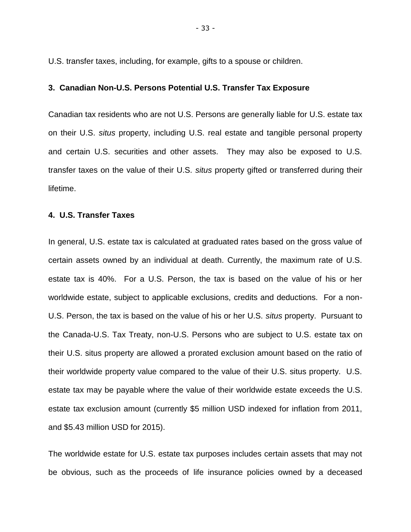U.S. transfer taxes, including, for example, gifts to a spouse or children.

# **3. Canadian Non-U.S. Persons Potential U.S. Transfer Tax Exposure**

Canadian tax residents who are not U.S. Persons are generally liable for U.S. estate tax on their U.S. *situs* property, including U.S. real estate and tangible personal property and certain U.S. securities and other assets. They may also be exposed to U.S. transfer taxes on the value of their U.S. *situs* property gifted or transferred during their lifetime.

#### **4. U.S. Transfer Taxes**

In general, U.S. estate tax is calculated at graduated rates based on the gross value of certain assets owned by an individual at death. Currently, the maximum rate of U.S. estate tax is 40%. For a U.S. Person, the tax is based on the value of his or her worldwide estate, subject to applicable exclusions, credits and deductions. For a non-U.S. Person, the tax is based on the value of his or her U.S. *situs* property. Pursuant to the Canada-U.S. Tax Treaty, non-U.S. Persons who are subject to U.S. estate tax on their U.S. situs property are allowed a prorated exclusion amount based on the ratio of their worldwide property value compared to the value of their U.S. situs property. U.S. estate tax may be payable where the value of their worldwide estate exceeds the U.S. estate tax exclusion amount (currently \$5 million USD indexed for inflation from 2011, and \$5.43 million USD for 2015).

The worldwide estate for U.S. estate tax purposes includes certain assets that may not be obvious, such as the proceeds of life insurance policies owned by a deceased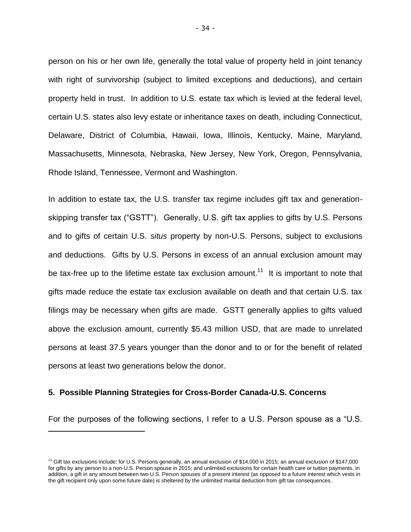person on his or her own life, generally the total value of property held in joint tenancy with right of survivorship (subject to limited exceptions and deductions), and certain property held in trust. In addition to U.S. estate tax which is levied at the federal level, certain U.S. states also levy estate or inheritance taxes on death, including Connecticut, Delaware, District of Columbia, Hawaii, Iowa, Illinois, Kentucky, Maine, Maryland, Massachusetts, Minnesota, Nebraska, New Jersey, New York, Oregon, Pennsylvania, Rhode Island, Tennessee, Vermont and Washington.

In addition to estate tax, the U.S. transfer tax regime includes gift tax and generationskipping transfer tax ("GSTT"). Generally, U.S. gift tax applies to gifts by U.S. Persons and to gifts of certain U.S. *situs* property by non-U.S. Persons, subject to exclusions and deductions. Gifts by U.S. Persons in excess of an annual exclusion amount may be tax-free up to the lifetime estate tax exclusion amount.<sup>11</sup> It is important to note that gifts made reduce the estate tax exclusion available on death and that certain U.S. tax filings may be necessary when gifts are made. GSTT generally applies to gifts valued above the exclusion amount, currently \$5.43 million USD, that are made to unrelated persons at least 37.5 years younger than the donor and to or for the benefit of related persons at least two generations below the donor.

# **5. Possible Planning Strategies for Cross-Border Canada-U.S. Concerns**

For the purposes of the following sections, I refer to a U.S. Person spouse as a "U.S.

<sup>&</sup>lt;sup>11</sup> Gift tax exclusions include: for U.S. Persons generally, an annual exclusion of \$14,000 in 2015; an annual exclusion of \$147,000 for gifts by any person to a non-U.S. Person spouse in 2015; and unlimited exclusions for certain health care or tuition payments. In addition, a gift in any amount between two U.S. Person spouses of a present interest (as opposed to a future interest which vests in the gift recipient only upon some future date) is sheltered by the unlimited marital deduction from gift tax consequences.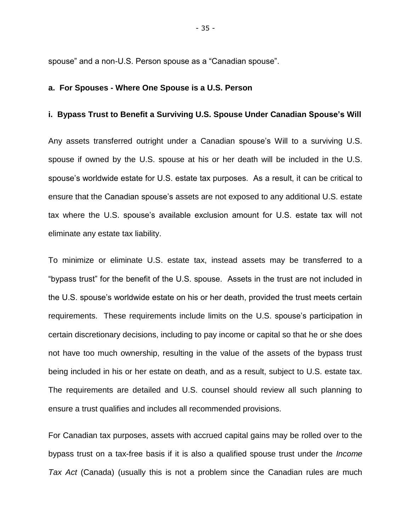spouse" and a non-U.S. Person spouse as a "Canadian spouse".

#### **a. For Spouses - Where One Spouse is a U.S. Person**

# **i. Bypass Trust to Benefit a Surviving U.S. Spouse Under Canadian Spouse's Will**

Any assets transferred outright under a Canadian spouse's Will to a surviving U.S. spouse if owned by the U.S. spouse at his or her death will be included in the U.S. spouse's worldwide estate for U.S. estate tax purposes. As a result, it can be critical to ensure that the Canadian spouse's assets are not exposed to any additional U.S. estate tax where the U.S. spouse's available exclusion amount for U.S. estate tax will not eliminate any estate tax liability.

To minimize or eliminate U.S. estate tax, instead assets may be transferred to a "bypass trust" for the benefit of the U.S. spouse. Assets in the trust are not included in the U.S. spouse's worldwide estate on his or her death, provided the trust meets certain requirements. These requirements include limits on the U.S. spouse's participation in certain discretionary decisions, including to pay income or capital so that he or she does not have too much ownership, resulting in the value of the assets of the bypass trust being included in his or her estate on death, and as a result, subject to U.S. estate tax. The requirements are detailed and U.S. counsel should review all such planning to ensure a trust qualifies and includes all recommended provisions.

For Canadian tax purposes, assets with accrued capital gains may be rolled over to the bypass trust on a tax-free basis if it is also a qualified spouse trust under the *Income Tax Act* (Canada) (usually this is not a problem since the Canadian rules are much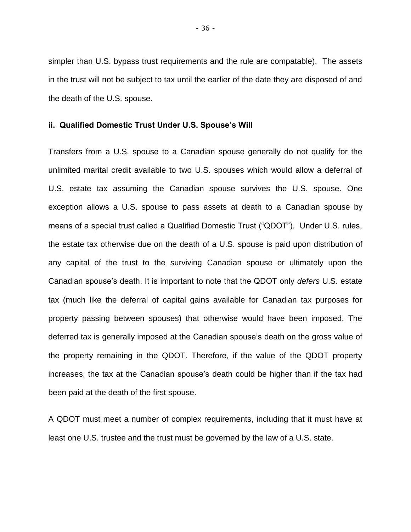simpler than U.S. bypass trust requirements and the rule are compatable). The assets in the trust will not be subject to tax until the earlier of the date they are disposed of and the death of the U.S. spouse.

#### **ii. Qualified Domestic Trust Under U.S. Spouse's Will**

Transfers from a U.S. spouse to a Canadian spouse generally do not qualify for the unlimited marital credit available to two U.S. spouses which would allow a deferral of U.S. estate tax assuming the Canadian spouse survives the U.S. spouse. One exception allows a U.S. spouse to pass assets at death to a Canadian spouse by means of a special trust called a Qualified Domestic Trust ("QDOT"). Under U.S. rules, the estate tax otherwise due on the death of a U.S. spouse is paid upon distribution of any capital of the trust to the surviving Canadian spouse or ultimately upon the Canadian spouse's death. It is important to note that the QDOT only *defers* U.S. estate tax (much like the deferral of capital gains available for Canadian tax purposes for property passing between spouses) that otherwise would have been imposed. The deferred tax is generally imposed at the Canadian spouse's death on the gross value of the property remaining in the QDOT. Therefore, if the value of the QDOT property increases, the tax at the Canadian spouse's death could be higher than if the tax had been paid at the death of the first spouse.

A QDOT must meet a number of complex requirements, including that it must have at least one U.S. trustee and the trust must be governed by the law of a U.S. state.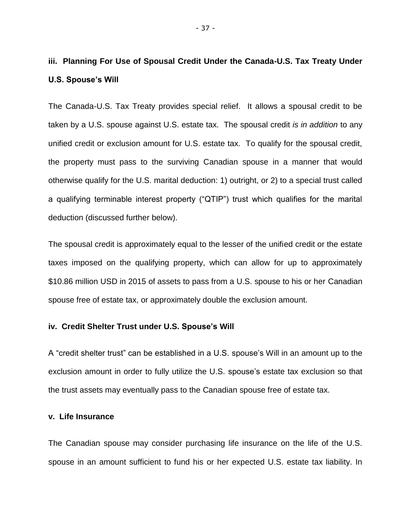# **iii. Planning For Use of Spousal Credit Under the Canada-U.S. Tax Treaty Under U.S. Spouse's Will**

The Canada-U.S. Tax Treaty provides special relief. It allows a spousal credit to be taken by a U.S. spouse against U.S. estate tax. The spousal credit *is in addition* to any unified credit or exclusion amount for U.S. estate tax. To qualify for the spousal credit, the property must pass to the surviving Canadian spouse in a manner that would otherwise qualify for the U.S. marital deduction: 1) outright, or 2) to a special trust called a qualifying terminable interest property ("QTIP") trust which qualifies for the marital deduction (discussed further below).

The spousal credit is approximately equal to the lesser of the unified credit or the estate taxes imposed on the qualifying property, which can allow for up to approximately \$10.86 million USD in 2015 of assets to pass from a U.S. spouse to his or her Canadian spouse free of estate tax, or approximately double the exclusion amount.

#### **iv. Credit Shelter Trust under U.S. Spouse's Will**

A "credit shelter trust" can be established in a U.S. spouse's Will in an amount up to the exclusion amount in order to fully utilize the U.S. spouse's estate tax exclusion so that the trust assets may eventually pass to the Canadian spouse free of estate tax.

#### **v. Life Insurance**

The Canadian spouse may consider purchasing life insurance on the life of the U.S. spouse in an amount sufficient to fund his or her expected U.S. estate tax liability. In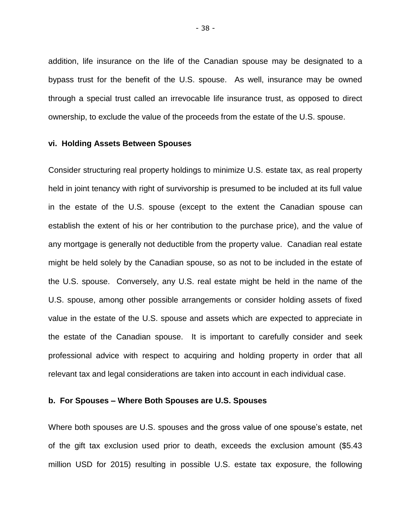addition, life insurance on the life of the Canadian spouse may be designated to a bypass trust for the benefit of the U.S. spouse. As well, insurance may be owned through a special trust called an irrevocable life insurance trust, as opposed to direct ownership, to exclude the value of the proceeds from the estate of the U.S. spouse.

#### **vi. Holding Assets Between Spouses**

Consider structuring real property holdings to minimize U.S. estate tax, as real property held in joint tenancy with right of survivorship is presumed to be included at its full value in the estate of the U.S. spouse (except to the extent the Canadian spouse can establish the extent of his or her contribution to the purchase price), and the value of any mortgage is generally not deductible from the property value. Canadian real estate might be held solely by the Canadian spouse, so as not to be included in the estate of the U.S. spouse. Conversely, any U.S. real estate might be held in the name of the U.S. spouse, among other possible arrangements or consider holding assets of fixed value in the estate of the U.S. spouse and assets which are expected to appreciate in the estate of the Canadian spouse. It is important to carefully consider and seek professional advice with respect to acquiring and holding property in order that all relevant tax and legal considerations are taken into account in each individual case.

#### **b. For Spouses – Where Both Spouses are U.S. Spouses**

Where both spouses are U.S. spouses and the gross value of one spouse's estate, net of the gift tax exclusion used prior to death, exceeds the exclusion amount (\$5.43 million USD for 2015) resulting in possible U.S. estate tax exposure, the following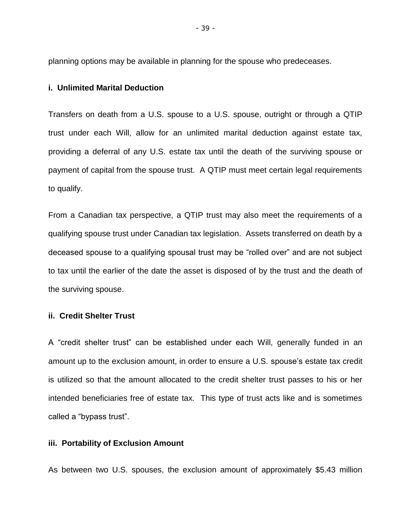planning options may be available in planning for the spouse who predeceases.

# **i. Unlimited Marital Deduction**

Transfers on death from a U.S. spouse to a U.S. spouse, outright or through a QTIP trust under each Will, allow for an unlimited marital deduction against estate tax, providing a deferral of any U.S. estate tax until the death of the surviving spouse or payment of capital from the spouse trust. A QTIP must meet certain legal requirements to qualify.

From a Canadian tax perspective, a QTIP trust may also meet the requirements of a qualifying spouse trust under Canadian tax legislation. Assets transferred on death by a deceased spouse to a qualifying spousal trust may be "rolled over" and are not subject to tax until the earlier of the date the asset is disposed of by the trust and the death of the surviving spouse.

# **ii. Credit Shelter Trust**

A "credit shelter trust" can be established under each Will, generally funded in an amount up to the exclusion amount, in order to ensure a U.S. spouse's estate tax credit is utilized so that the amount allocated to the credit shelter trust passes to his or her intended beneficiaries free of estate tax. This type of trust acts like and is sometimes called a "bypass trust".

# **iii. Portability of Exclusion Amount**

As between two U.S. spouses, the exclusion amount of approximately \$5.43 million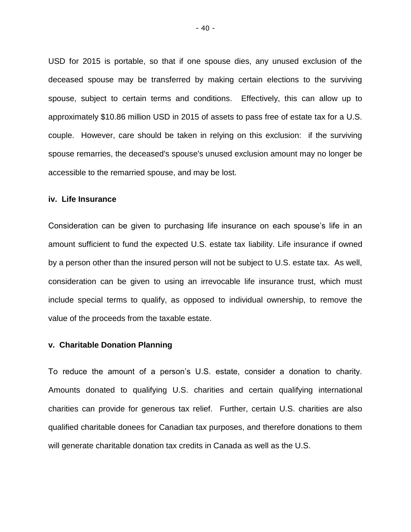USD for 2015 is portable, so that if one spouse dies, any unused exclusion of the deceased spouse may be transferred by making certain elections to the surviving spouse, subject to certain terms and conditions. Effectively, this can allow up to approximately \$10.86 million USD in 2015 of assets to pass free of estate tax for a U.S. couple. However, care should be taken in relying on this exclusion: if the surviving spouse remarries, the deceased's spouse's unused exclusion amount may no longer be accessible to the remarried spouse, and may be lost.

#### **iv. Life Insurance**

Consideration can be given to purchasing life insurance on each spouse's life in an amount sufficient to fund the expected U.S. estate tax liability. Life insurance if owned by a person other than the insured person will not be subject to U.S. estate tax. As well, consideration can be given to using an irrevocable life insurance trust, which must include special terms to qualify, as opposed to individual ownership, to remove the value of the proceeds from the taxable estate.

#### **v. Charitable Donation Planning**

To reduce the amount of a person's U.S. estate, consider a donation to charity. Amounts donated to qualifying U.S. charities and certain qualifying international charities can provide for generous tax relief. Further, certain U.S. charities are also qualified charitable donees for Canadian tax purposes, and therefore donations to them will generate charitable donation tax credits in Canada as well as the U.S.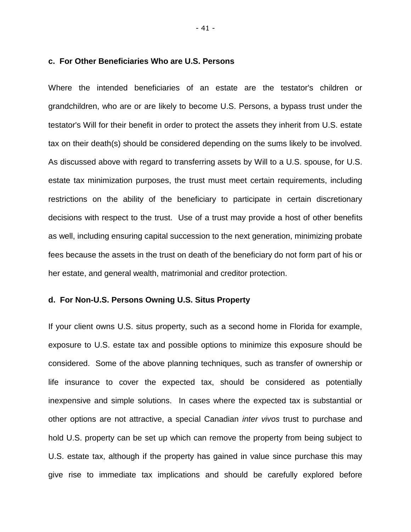#### **c. For Other Beneficiaries Who are U.S. Persons**

Where the intended beneficiaries of an estate are the testator's children or grandchildren, who are or are likely to become U.S. Persons, a bypass trust under the testator's Will for their benefit in order to protect the assets they inherit from U.S. estate tax on their death(s) should be considered depending on the sums likely to be involved. As discussed above with regard to transferring assets by Will to a U.S. spouse, for U.S. estate tax minimization purposes, the trust must meet certain requirements, including restrictions on the ability of the beneficiary to participate in certain discretionary decisions with respect to the trust. Use of a trust may provide a host of other benefits as well, including ensuring capital succession to the next generation, minimizing probate fees because the assets in the trust on death of the beneficiary do not form part of his or her estate, and general wealth, matrimonial and creditor protection.

# **d. For Non-U.S. Persons Owning U.S. Situs Property**

If your client owns U.S. situs property, such as a second home in Florida for example, exposure to U.S. estate tax and possible options to minimize this exposure should be considered. Some of the above planning techniques, such as transfer of ownership or life insurance to cover the expected tax, should be considered as potentially inexpensive and simple solutions. In cases where the expected tax is substantial or other options are not attractive, a special Canadian *inter vivos* trust to purchase and hold U.S. property can be set up which can remove the property from being subject to U.S. estate tax, although if the property has gained in value since purchase this may give rise to immediate tax implications and should be carefully explored before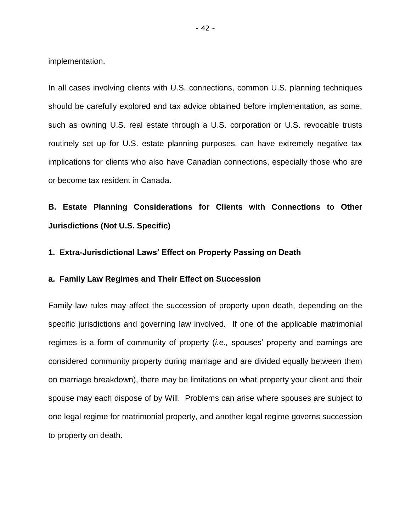implementation.

In all cases involving clients with U.S. connections, common U.S. planning techniques should be carefully explored and tax advice obtained before implementation, as some, such as owning U.S. real estate through a U.S. corporation or U.S. revocable trusts routinely set up for U.S. estate planning purposes, can have extremely negative tax implications for clients who also have Canadian connections, especially those who are or become tax resident in Canada.

**B. Estate Planning Considerations for Clients with Connections to Other Jurisdictions (Not U.S. Specific)** 

# **1. Extra-Jurisdictional Laws' Effect on Property Passing on Death**

#### **a. Family Law Regimes and Their Effect on Succession**

Family law rules may affect the succession of property upon death, depending on the specific jurisdictions and governing law involved. If one of the applicable matrimonial regimes is a form of community of property (*i.e.,* spouses' property and earnings are considered community property during marriage and are divided equally between them on marriage breakdown), there may be limitations on what property your client and their spouse may each dispose of by Will. Problems can arise where spouses are subject to one legal regime for matrimonial property, and another legal regime governs succession to property on death.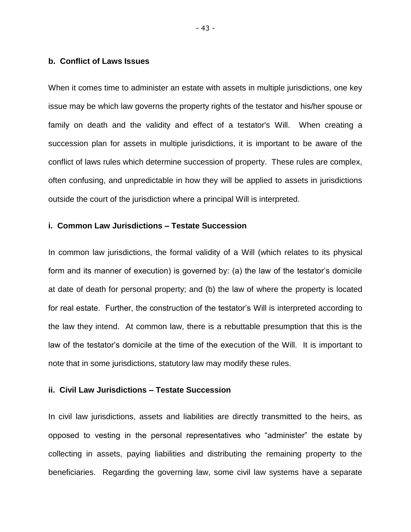# **b. Conflict of Laws Issues**

When it comes time to administer an estate with assets in multiple jurisdictions, one key issue may be which law governs the property rights of the testator and his/her spouse or family on death and the validity and effect of a testator's Will. When creating a succession plan for assets in multiple jurisdictions, it is important to be aware of the conflict of laws rules which determine succession of property. These rules are complex, often confusing, and unpredictable in how they will be applied to assets in jurisdictions outside the court of the jurisdiction where a principal Will is interpreted.

# **i. Common Law Jurisdictions – Testate Succession**

In common law jurisdictions, the formal validity of a Will (which relates to its physical form and its manner of execution) is governed by: (a) the law of the testator's domicile at date of death for personal property; and (b) the law of where the property is located for real estate. Further, the construction of the testator's Will is interpreted according to the law they intend. At common law, there is a rebuttable presumption that this is the law of the testator's domicile at the time of the execution of the Will. It is important to note that in some jurisdictions, statutory law may modify these rules.

# **ii. Civil Law Jurisdictions – Testate Succession**

In civil law jurisdictions, assets and liabilities are directly transmitted to the heirs, as opposed to vesting in the personal representatives who "administer" the estate by collecting in assets, paying liabilities and distributing the remaining property to the beneficiaries. Regarding the governing law, some civil law systems have a separate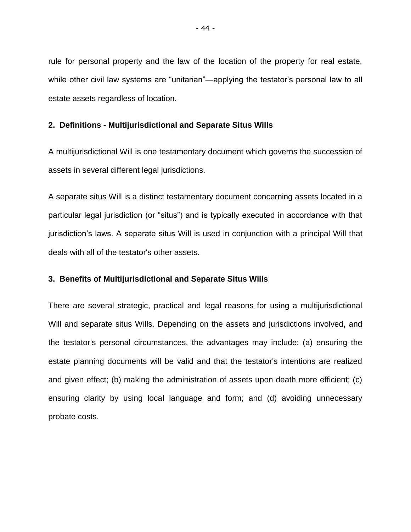rule for personal property and the law of the location of the property for real estate, while other civil law systems are "unitarian"—applying the testator's personal law to all estate assets regardless of location.

#### **2. Definitions - Multijurisdictional and Separate Situs Wills**

A multijurisdictional Will is one testamentary document which governs the succession of assets in several different legal jurisdictions.

A separate situs Will is a distinct testamentary document concerning assets located in a particular legal jurisdiction (or "situs") and is typically executed in accordance with that jurisdiction's laws. A separate situs Will is used in conjunction with a principal Will that deals with all of the testator's other assets.

# **3. Benefits of Multijurisdictional and Separate Situs Wills**

There are several strategic, practical and legal reasons for using a multijurisdictional Will and separate situs Wills. Depending on the assets and jurisdictions involved, and the testator's personal circumstances, the advantages may include: (a) ensuring the estate planning documents will be valid and that the testator's intentions are realized and given effect; (b) making the administration of assets upon death more efficient; (c) ensuring clarity by using local language and form; and (d) avoiding unnecessary probate costs.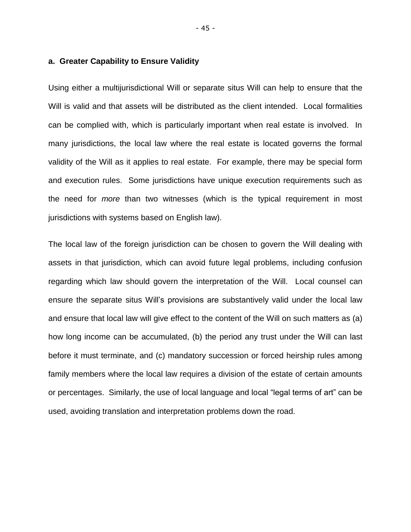#### **a. Greater Capability to Ensure Validity**

Using either a multijurisdictional Will or separate situs Will can help to ensure that the Will is valid and that assets will be distributed as the client intended. Local formalities can be complied with, which is particularly important when real estate is involved. In many jurisdictions, the local law where the real estate is located governs the formal validity of the Will as it applies to real estate. For example, there may be special form and execution rules. Some jurisdictions have unique execution requirements such as the need for *more* than two witnesses (which is the typical requirement in most jurisdictions with systems based on English law).

The local law of the foreign jurisdiction can be chosen to govern the Will dealing with assets in that jurisdiction, which can avoid future legal problems, including confusion regarding which law should govern the interpretation of the Will. Local counsel can ensure the separate situs Will's provisions are substantively valid under the local law and ensure that local law will give effect to the content of the Will on such matters as (a) how long income can be accumulated, (b) the period any trust under the Will can last before it must terminate, and (c) mandatory succession or forced heirship rules among family members where the local law requires a division of the estate of certain amounts or percentages. Similarly, the use of local language and local "legal terms of art" can be used, avoiding translation and interpretation problems down the road.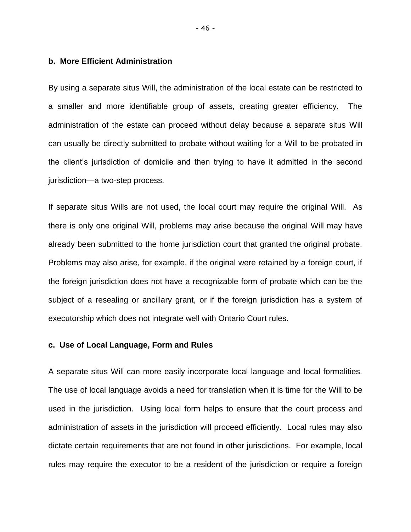#### **b. More Efficient Administration**

By using a separate situs Will, the administration of the local estate can be restricted to a smaller and more identifiable group of assets, creating greater efficiency. The administration of the estate can proceed without delay because a separate situs Will can usually be directly submitted to probate without waiting for a Will to be probated in the client's jurisdiction of domicile and then trying to have it admitted in the second jurisdiction—a two-step process.

If separate situs Wills are not used, the local court may require the original Will. As there is only one original Will, problems may arise because the original Will may have already been submitted to the home jurisdiction court that granted the original probate. Problems may also arise, for example, if the original were retained by a foreign court, if the foreign jurisdiction does not have a recognizable form of probate which can be the subject of a resealing or ancillary grant, or if the foreign jurisdiction has a system of executorship which does not integrate well with Ontario Court rules.

# **c. Use of Local Language, Form and Rules**

A separate situs Will can more easily incorporate local language and local formalities. The use of local language avoids a need for translation when it is time for the Will to be used in the jurisdiction. Using local form helps to ensure that the court process and administration of assets in the jurisdiction will proceed efficiently. Local rules may also dictate certain requirements that are not found in other jurisdictions. For example, local rules may require the executor to be a resident of the jurisdiction or require a foreign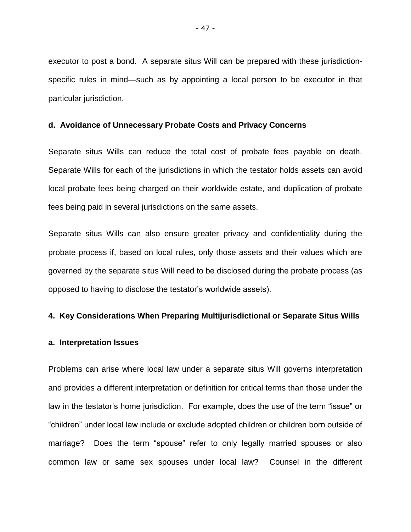executor to post a bond. A separate situs Will can be prepared with these jurisdictionspecific rules in mind—such as by appointing a local person to be executor in that particular jurisdiction.

#### **d. Avoidance of Unnecessary Probate Costs and Privacy Concerns**

Separate situs Wills can reduce the total cost of probate fees payable on death. Separate Wills for each of the jurisdictions in which the testator holds assets can avoid local probate fees being charged on their worldwide estate, and duplication of probate fees being paid in several jurisdictions on the same assets.

Separate situs Wills can also ensure greater privacy and confidentiality during the probate process if, based on local rules, only those assets and their values which are governed by the separate situs Will need to be disclosed during the probate process (as opposed to having to disclose the testator's worldwide assets).

#### **4. Key Considerations When Preparing Multijurisdictional or Separate Situs Wills**

#### **a. Interpretation Issues**

Problems can arise where local law under a separate situs Will governs interpretation and provides a different interpretation or definition for critical terms than those under the law in the testator's home jurisdiction. For example, does the use of the term "issue" or "children" under local law include or exclude adopted children or children born outside of marriage? Does the term "spouse" refer to only legally married spouses or also common law or same sex spouses under local law? Counsel in the different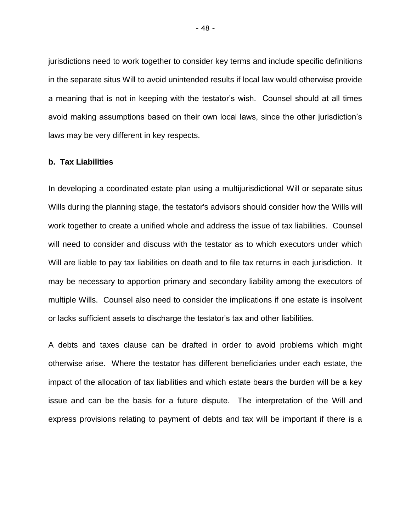jurisdictions need to work together to consider key terms and include specific definitions in the separate situs Will to avoid unintended results if local law would otherwise provide a meaning that is not in keeping with the testator's wish. Counsel should at all times avoid making assumptions based on their own local laws, since the other jurisdiction's laws may be very different in key respects.

#### **b. Tax Liabilities**

In developing a coordinated estate plan using a multijurisdictional Will or separate situs Wills during the planning stage, the testator's advisors should consider how the Wills will work together to create a unified whole and address the issue of tax liabilities. Counsel will need to consider and discuss with the testator as to which executors under which Will are liable to pay tax liabilities on death and to file tax returns in each jurisdiction. It may be necessary to apportion primary and secondary liability among the executors of multiple Wills. Counsel also need to consider the implications if one estate is insolvent or lacks sufficient assets to discharge the testator's tax and other liabilities.

A debts and taxes clause can be drafted in order to avoid problems which might otherwise arise. Where the testator has different beneficiaries under each estate, the impact of the allocation of tax liabilities and which estate bears the burden will be a key issue and can be the basis for a future dispute. The interpretation of the Will and express provisions relating to payment of debts and tax will be important if there is a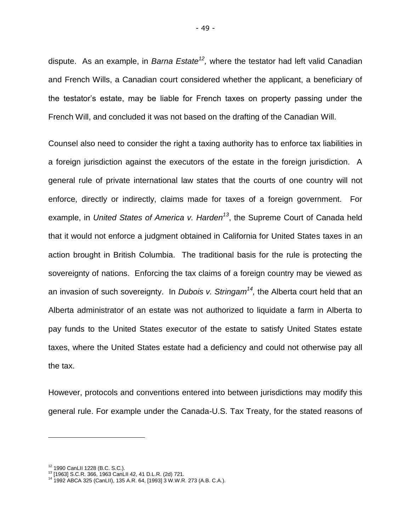dispute. As an example, in *Barna Estate<sup>12</sup>,* where the testator had left valid Canadian and French Wills, a Canadian court considered whether the applicant, a beneficiary of the testator's estate, may be liable for French taxes on property passing under the French Will, and concluded it was not based on the drafting of the Canadian Will.

Counsel also need to consider the right a taxing authority has to enforce tax liabilities in a foreign jurisdiction against the executors of the estate in the foreign jurisdiction. A general rule of private international law states that the courts of one country will not enforce, directly or indirectly, claims made for taxes of a foreign government. For example, in *United States of America v. Harden<sup>13</sup>* , the Supreme Court of Canada held that it would not enforce a judgment obtained in California for United States taxes in an action brought in British Columbia. The traditional basis for the rule is protecting the sovereignty of nations. Enforcing the tax claims of a foreign country may be viewed as an invasion of such sovereignty. In *Dubois v. Stringam<sup>14</sup>,* the Alberta court held that an Alberta administrator of an estate was not authorized to liquidate a farm in Alberta to pay funds to the United States executor of the estate to satisfy United States estate taxes, where the United States estate had a deficiency and could not otherwise pay all the tax.

However, protocols and conventions entered into between jurisdictions may modify this general rule. For example under the Canada-U.S. Tax Treaty, for the stated reasons of

-

<sup>12</sup> 1990 CanLII 1228 (B.C. S.C.).

<sup>13</sup> [1963] S.C.R. 366, 1963 CanLII 42, 41 D.L.R. (2d) 721.

<sup>14</sup> 1992 ABCA 325 (CanLII), 135 A.R. 64, [1993] 3 W.W.R. 273 (A.B. C.A.).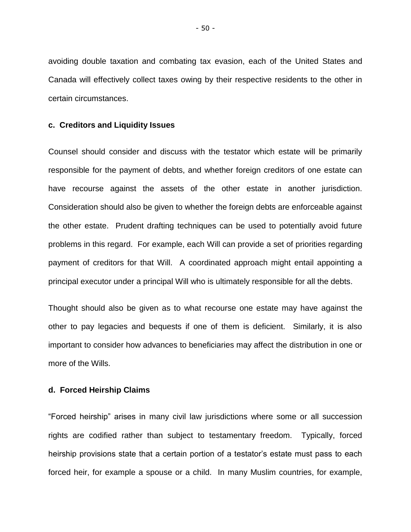avoiding double taxation and combating tax evasion, each of the United States and Canada will effectively collect taxes owing by their respective residents to the other in certain circumstances.

#### **c. Creditors and Liquidity Issues**

Counsel should consider and discuss with the testator which estate will be primarily responsible for the payment of debts, and whether foreign creditors of one estate can have recourse against the assets of the other estate in another jurisdiction. Consideration should also be given to whether the foreign debts are enforceable against the other estate. Prudent drafting techniques can be used to potentially avoid future problems in this regard. For example, each Will can provide a set of priorities regarding payment of creditors for that Will. A coordinated approach might entail appointing a principal executor under a principal Will who is ultimately responsible for all the debts.

Thought should also be given as to what recourse one estate may have against the other to pay legacies and bequests if one of them is deficient. Similarly, it is also important to consider how advances to beneficiaries may affect the distribution in one or more of the Wills.

#### **d. Forced Heirship Claims**

"Forced heirship" arises in many civil law jurisdictions where some or all succession rights are codified rather than subject to testamentary freedom. Typically, forced heirship provisions state that a certain portion of a testator's estate must pass to each forced heir, for example a spouse or a child. In many Muslim countries, for example,